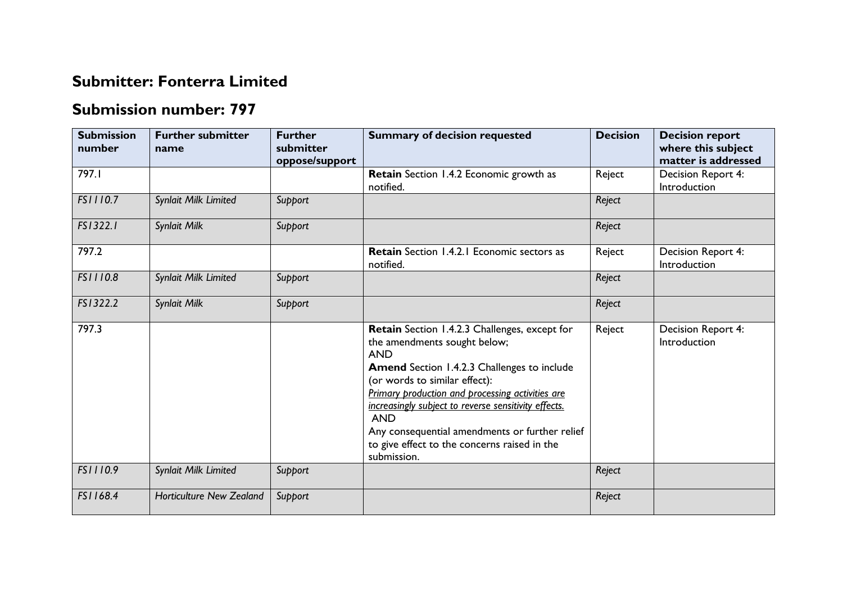## **Submitter: Fonterra Limited**

## **Submission number: 797**

| <b>Submission</b><br>number | <b>Further submitter</b><br>name | <b>Further</b><br>submitter<br>oppose/support | <b>Summary of decision requested</b>                                                                                                                                                                                                                                                                                                                                                                                          | <b>Decision</b> | <b>Decision report</b><br>where this subject<br>matter is addressed |
|-----------------------------|----------------------------------|-----------------------------------------------|-------------------------------------------------------------------------------------------------------------------------------------------------------------------------------------------------------------------------------------------------------------------------------------------------------------------------------------------------------------------------------------------------------------------------------|-----------------|---------------------------------------------------------------------|
| 797.I                       |                                  |                                               | Retain Section 1.4.2 Economic growth as<br>notified.                                                                                                                                                                                                                                                                                                                                                                          | Reject          | Decision Report 4:<br>Introduction                                  |
| FS1110.7                    | Synlait Milk Limited             | Support                                       |                                                                                                                                                                                                                                                                                                                                                                                                                               | Reject          |                                                                     |
| FS1322.1                    | Synlait Milk                     | Support                                       |                                                                                                                                                                                                                                                                                                                                                                                                                               | Reject          |                                                                     |
| 797.2                       |                                  |                                               | <b>Retain</b> Section 1.4.2.1 Economic sectors as<br>notified.                                                                                                                                                                                                                                                                                                                                                                | Reject          | Decision Report 4:<br>Introduction                                  |
| FS1110.8                    | Synlait Milk Limited             | Support                                       |                                                                                                                                                                                                                                                                                                                                                                                                                               | Reject          |                                                                     |
| FS1322.2                    | Synlait Milk                     | Support                                       |                                                                                                                                                                                                                                                                                                                                                                                                                               | Reject          |                                                                     |
| 797.3                       |                                  |                                               | Retain Section 1.4.2.3 Challenges, except for<br>the amendments sought below;<br><b>AND</b><br><b>Amend</b> Section 1.4.2.3 Challenges to include<br>(or words to similar effect):<br>Primary production and processing activities are<br>increasingly subject to reverse sensitivity effects.<br><b>AND</b><br>Any consequential amendments or further relief<br>to give effect to the concerns raised in the<br>submission. | Reject          | Decision Report 4:<br>Introduction                                  |
| FS1110.9                    | Synlait Milk Limited             | Support                                       |                                                                                                                                                                                                                                                                                                                                                                                                                               | Reject          |                                                                     |
| FS1168.4                    | <b>Horticulture New Zealand</b>  | Support                                       |                                                                                                                                                                                                                                                                                                                                                                                                                               | Reject          |                                                                     |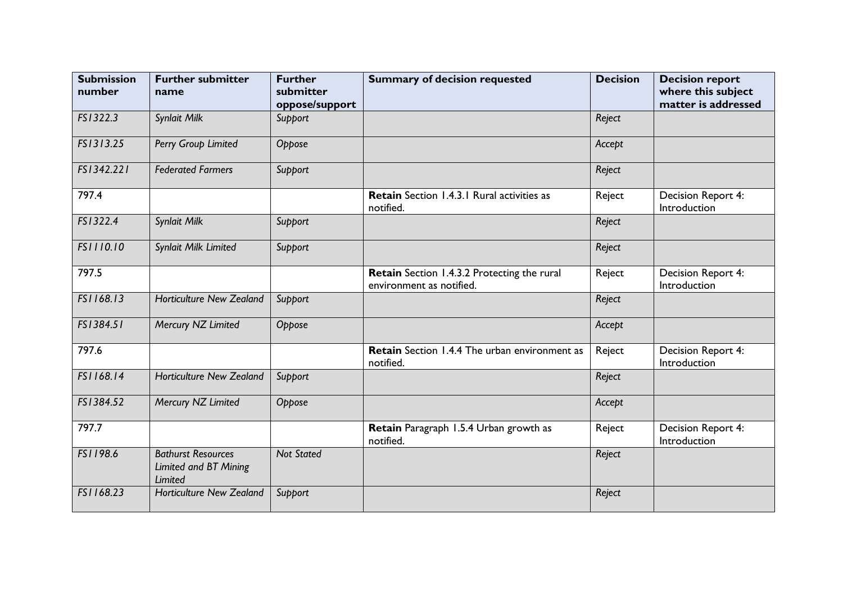| <b>Submission</b><br>number | <b>Further submitter</b><br>name                              | <b>Further</b><br>submitter<br>oppose/support | <b>Summary of decision requested</b>                                    | <b>Decision</b> | <b>Decision report</b><br>where this subject<br>matter is addressed |
|-----------------------------|---------------------------------------------------------------|-----------------------------------------------|-------------------------------------------------------------------------|-----------------|---------------------------------------------------------------------|
| FS1322.3                    | Synlait Milk                                                  | Support                                       |                                                                         | Reject          |                                                                     |
| FS1313.25                   | Perry Group Limited                                           | Oppose                                        |                                                                         | Accept          |                                                                     |
| FS1342.221                  | <b>Federated Farmers</b>                                      | Support                                       |                                                                         | Reject          |                                                                     |
| 797.4                       |                                                               |                                               | Retain Section 1.4.3.1 Rural activities as<br>notified.                 | Reject          | Decision Report 4:<br>Introduction                                  |
| FS1322.4                    | Synlait Milk                                                  | Support                                       |                                                                         | Reject          |                                                                     |
| FS1110.10                   | Synlait Milk Limited                                          | Support                                       |                                                                         | Reject          |                                                                     |
| 797.5                       |                                                               |                                               | Retain Section 1.4.3.2 Protecting the rural<br>environment as notified. | Reject          | Decision Report 4:<br>Introduction                                  |
| FS1168.13                   | <b>Horticulture New Zealand</b>                               | Support                                       |                                                                         | Reject          |                                                                     |
| FS1384.51                   | Mercury NZ Limited                                            | Oppose                                        |                                                                         | Accept          |                                                                     |
| 797.6                       |                                                               |                                               | <b>Retain</b> Section 1.4.4 The urban environment as<br>notified.       | Reject          | Decision Report 4:<br>Introduction                                  |
| FS1168.14                   | <b>Horticulture New Zealand</b>                               | Support                                       |                                                                         | Reject          |                                                                     |
| FS1384.52                   | Mercury NZ Limited                                            | Oppose                                        |                                                                         | Accept          |                                                                     |
| 797.7                       |                                                               |                                               | Retain Paragraph 1.5.4 Urban growth as<br>notified.                     | Reject          | Decision Report 4:<br>Introduction                                  |
| FS1198.6                    | <b>Bathurst Resources</b><br>Limited and BT Mining<br>Limited | <b>Not Stated</b>                             |                                                                         | Reject          |                                                                     |
| FS1168.23                   | <b>Horticulture New Zealand</b>                               | Support                                       |                                                                         | Reject          |                                                                     |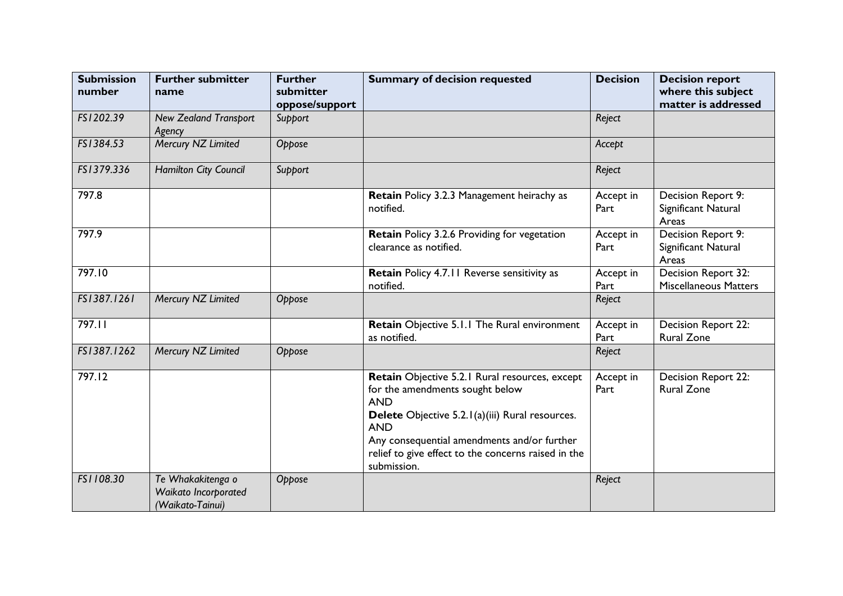| <b>Submission</b><br>number | <b>Further submitter</b><br>name                              | <b>Further</b><br>submitter<br>oppose/support | <b>Summary of decision requested</b>                                                                                                                                                                                                                                                  | <b>Decision</b>   | <b>Decision report</b><br>where this subject<br>matter is addressed |
|-----------------------------|---------------------------------------------------------------|-----------------------------------------------|---------------------------------------------------------------------------------------------------------------------------------------------------------------------------------------------------------------------------------------------------------------------------------------|-------------------|---------------------------------------------------------------------|
| FS1202.39                   | <b>New Zealand Transport</b><br>Agency                        | Support                                       |                                                                                                                                                                                                                                                                                       | Reject            |                                                                     |
| FS1384.53                   | Mercury NZ Limited                                            | Oppose                                        |                                                                                                                                                                                                                                                                                       | Accept            |                                                                     |
| FS1379.336                  | Hamilton City Council                                         | Support                                       |                                                                                                                                                                                                                                                                                       | Reject            |                                                                     |
| 797.8                       |                                                               |                                               | Retain Policy 3.2.3 Management heirachy as<br>notified.                                                                                                                                                                                                                               | Accept in<br>Part | Decision Report 9:<br>Significant Natural<br>Areas                  |
| 797.9                       |                                                               |                                               | Retain Policy 3.2.6 Providing for vegetation<br>clearance as notified.                                                                                                                                                                                                                | Accept in<br>Part | Decision Report 9:<br>Significant Natural<br>Areas                  |
| 797.10                      |                                                               |                                               | Retain Policy 4.7.11 Reverse sensitivity as<br>notified.                                                                                                                                                                                                                              | Accept in<br>Part | Decision Report 32:<br><b>Miscellaneous Matters</b>                 |
| FS1387.1261                 | Mercury NZ Limited                                            | Oppose                                        |                                                                                                                                                                                                                                                                                       | Reject            |                                                                     |
| 797.11                      |                                                               |                                               | Retain Objective 5.1.1 The Rural environment<br>as notified.                                                                                                                                                                                                                          | Accept in<br>Part | Decision Report 22:<br><b>Rural Zone</b>                            |
| FS1387.1262                 | Mercury NZ Limited                                            | Oppose                                        |                                                                                                                                                                                                                                                                                       | Reject            |                                                                     |
| 797.12                      |                                                               |                                               | Retain Objective 5.2.1 Rural resources, except<br>for the amendments sought below<br><b>AND</b><br>Delete Objective 5.2.1(a)(iii) Rural resources.<br><b>AND</b><br>Any consequential amendments and/or further<br>relief to give effect to the concerns raised in the<br>submission. | Accept in<br>Part | Decision Report 22:<br><b>Rural Zone</b>                            |
| FS1108.30                   | Te Whakakitenga o<br>Waikato Incorporated<br>(Waikato-Tainui) | Oppose                                        |                                                                                                                                                                                                                                                                                       | Reject            |                                                                     |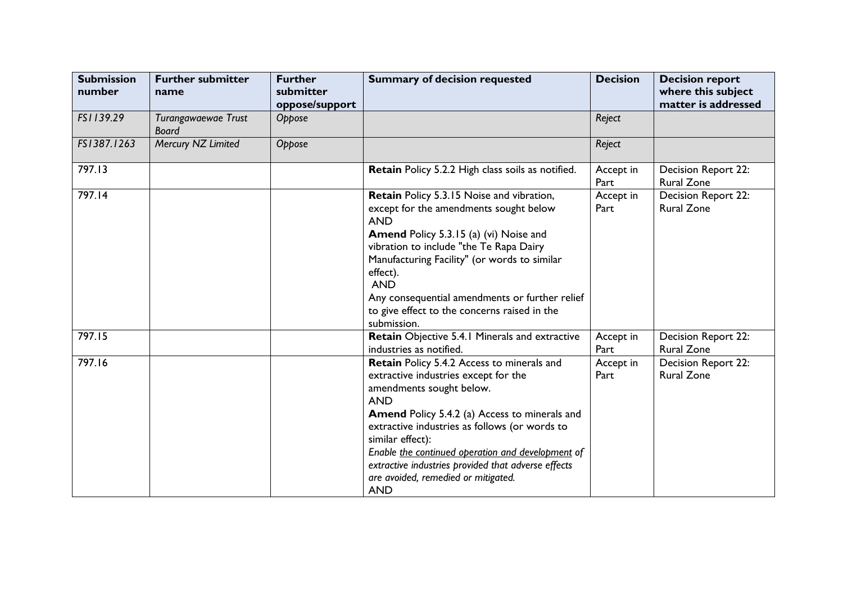| <b>Submission</b><br>number | <b>Further submitter</b><br>name    | <b>Further</b><br>submitter<br>oppose/support | <b>Summary of decision requested</b>                                                                                                                                                                                                                                                                                                                                                                                       | <b>Decision</b>   | <b>Decision report</b><br>where this subject<br>matter is addressed |
|-----------------------------|-------------------------------------|-----------------------------------------------|----------------------------------------------------------------------------------------------------------------------------------------------------------------------------------------------------------------------------------------------------------------------------------------------------------------------------------------------------------------------------------------------------------------------------|-------------------|---------------------------------------------------------------------|
| FS1139.29                   | Turangawaewae Trust<br><b>Board</b> | Oppose                                        |                                                                                                                                                                                                                                                                                                                                                                                                                            | Reject            |                                                                     |
| FS1387.1263                 | Mercury NZ Limited                  | Oppose                                        |                                                                                                                                                                                                                                                                                                                                                                                                                            | Reject            |                                                                     |
| 797.13                      |                                     |                                               | Retain Policy 5.2.2 High class soils as notified.                                                                                                                                                                                                                                                                                                                                                                          | Accept in<br>Part | Decision Report 22:<br><b>Rural Zone</b>                            |
| 797.14                      |                                     |                                               | Retain Policy 5.3.15 Noise and vibration,<br>except for the amendments sought below<br><b>AND</b><br><b>Amend Policy 5.3.15 (a) (vi) Noise and</b><br>vibration to include "the Te Rapa Dairy<br>Manufacturing Facility" (or words to similar<br>effect).<br><b>AND</b><br>Any consequential amendments or further relief<br>to give effect to the concerns raised in the<br>submission.                                   | Accept in<br>Part | Decision Report 22:<br><b>Rural Zone</b>                            |
| 797.15                      |                                     |                                               | Retain Objective 5.4.1 Minerals and extractive<br>industries as notified.                                                                                                                                                                                                                                                                                                                                                  | Accept in<br>Part | Decision Report 22:<br><b>Rural Zone</b>                            |
| 797.16                      |                                     |                                               | Retain Policy 5.4.2 Access to minerals and<br>extractive industries except for the<br>amendments sought below.<br><b>AND</b><br><b>Amend Policy 5.4.2 (a) Access to minerals and</b><br>extractive industries as follows (or words to<br>similar effect):<br>Enable the continued operation and development of<br>extractive industries provided that adverse effects<br>are avoided, remedied or mitigated.<br><b>AND</b> | Accept in<br>Part | Decision Report 22:<br><b>Rural Zone</b>                            |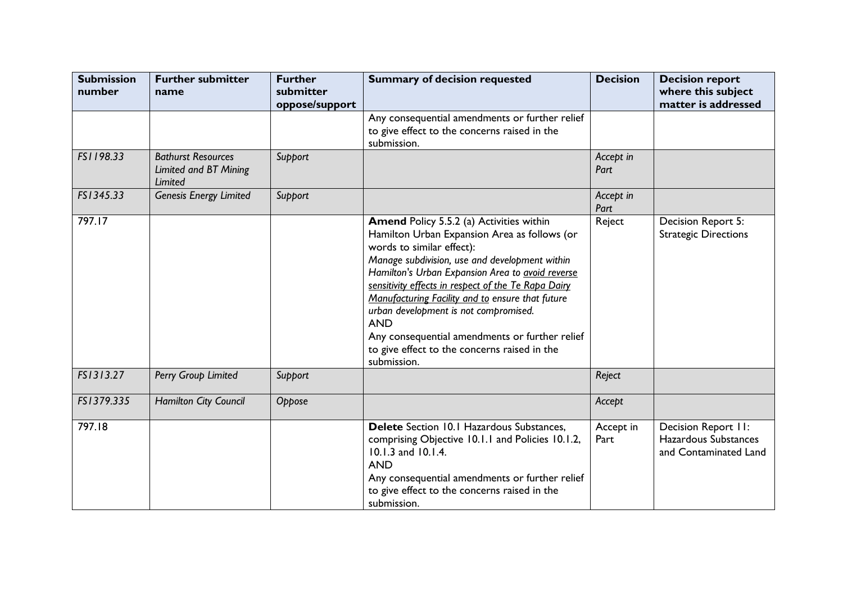| <b>Submission</b><br>number | <b>Further submitter</b><br>name                              | <b>Further</b><br>submitter<br>oppose/support | <b>Summary of decision requested</b>                                                                                                                                                                                                                                                                                                                                                                                                                                                                           | <b>Decision</b>   | <b>Decision report</b><br>where this subject<br>matter is addressed  |
|-----------------------------|---------------------------------------------------------------|-----------------------------------------------|----------------------------------------------------------------------------------------------------------------------------------------------------------------------------------------------------------------------------------------------------------------------------------------------------------------------------------------------------------------------------------------------------------------------------------------------------------------------------------------------------------------|-------------------|----------------------------------------------------------------------|
|                             |                                                               |                                               | Any consequential amendments or further relief<br>to give effect to the concerns raised in the<br>submission.                                                                                                                                                                                                                                                                                                                                                                                                  |                   |                                                                      |
| FS1198.33                   | <b>Bathurst Resources</b><br>Limited and BT Mining<br>Limited | Support                                       |                                                                                                                                                                                                                                                                                                                                                                                                                                                                                                                | Accept in<br>Part |                                                                      |
| FS1345.33                   | <b>Genesis Energy Limited</b>                                 | Support                                       |                                                                                                                                                                                                                                                                                                                                                                                                                                                                                                                | Accept in<br>Part |                                                                      |
| 797.17                      |                                                               |                                               | Amend Policy 5.5.2 (a) Activities within<br>Hamilton Urban Expansion Area as follows (or<br>words to similar effect):<br>Manage subdivision, use and development within<br>Hamilton's Urban Expansion Area to avoid reverse<br>sensitivity effects in respect of the Te Rapa Dairy<br>Manufacturing Facility and to ensure that future<br>urban development is not compromised.<br><b>AND</b><br>Any consequential amendments or further relief<br>to give effect to the concerns raised in the<br>submission. | Reject            | Decision Report 5:<br><b>Strategic Directions</b>                    |
| FS1313.27                   | Perry Group Limited                                           | Support                                       |                                                                                                                                                                                                                                                                                                                                                                                                                                                                                                                | Reject            |                                                                      |
| FS1379.335                  | Hamilton City Council                                         | Oppose                                        |                                                                                                                                                                                                                                                                                                                                                                                                                                                                                                                | Accept            |                                                                      |
| 797.18                      |                                                               |                                               | Delete Section 10.1 Hazardous Substances,<br>comprising Objective 10.1.1 and Policies 10.1.2,<br>10.1.3 and 10.1.4.<br><b>AND</b><br>Any consequential amendments or further relief<br>to give effect to the concerns raised in the<br>submission.                                                                                                                                                                                                                                                             | Accept in<br>Part | Decision Report II:<br>Hazardous Substances<br>and Contaminated Land |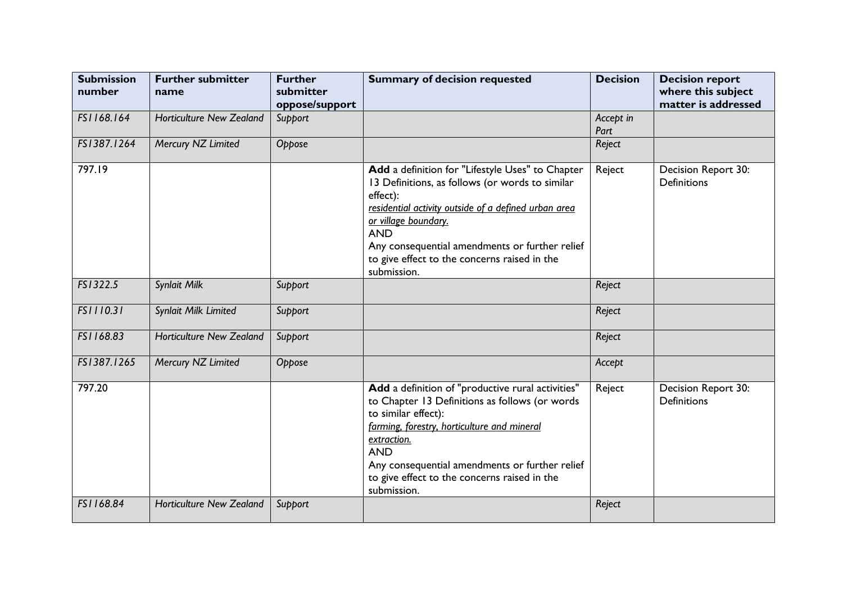| <b>Submission</b><br>number | <b>Further submitter</b><br>name | <b>Further</b><br>submitter<br>oppose/support | <b>Summary of decision requested</b>                                                                                                                                                                                                                                                                                           | <b>Decision</b>   | <b>Decision report</b><br>where this subject<br>matter is addressed |
|-----------------------------|----------------------------------|-----------------------------------------------|--------------------------------------------------------------------------------------------------------------------------------------------------------------------------------------------------------------------------------------------------------------------------------------------------------------------------------|-------------------|---------------------------------------------------------------------|
| FS1168.164                  | <b>Horticulture New Zealand</b>  | Support                                       |                                                                                                                                                                                                                                                                                                                                | Accept in<br>Part |                                                                     |
| FS1387.1264                 | Mercury NZ Limited               | Oppose                                        |                                                                                                                                                                                                                                                                                                                                | Reject            |                                                                     |
| 797.19                      |                                  |                                               | Add a definition for "Lifestyle Uses" to Chapter<br>13 Definitions, as follows (or words to similar<br>effect):<br>residential activity outside of a defined urban area<br>or village boundary.<br><b>AND</b><br>Any consequential amendments or further relief<br>to give effect to the concerns raised in the<br>submission. | Reject            | Decision Report 30:<br><b>Definitions</b>                           |
| FS1322.5                    | Synlait Milk                     | Support                                       |                                                                                                                                                                                                                                                                                                                                | Reject            |                                                                     |
| FS1110.31                   | Synlait Milk Limited             | Support                                       |                                                                                                                                                                                                                                                                                                                                | Reject            |                                                                     |
| FS1168.83                   | <b>Horticulture New Zealand</b>  | Support                                       |                                                                                                                                                                                                                                                                                                                                | Reject            |                                                                     |
| FS1387.1265                 | Mercury NZ Limited               | Oppose                                        |                                                                                                                                                                                                                                                                                                                                | Accept            |                                                                     |
| 797.20                      |                                  |                                               | Add a definition of "productive rural activities"<br>to Chapter 13 Definitions as follows (or words<br>to similar effect):<br>farming, forestry, horticulture and mineral<br>extraction.<br><b>AND</b><br>Any consequential amendments or further relief<br>to give effect to the concerns raised in the<br>submission.        | Reject            | Decision Report 30:<br><b>Definitions</b>                           |
| FS1168.84                   | <b>Horticulture New Zealand</b>  | Support                                       |                                                                                                                                                                                                                                                                                                                                | Reject            |                                                                     |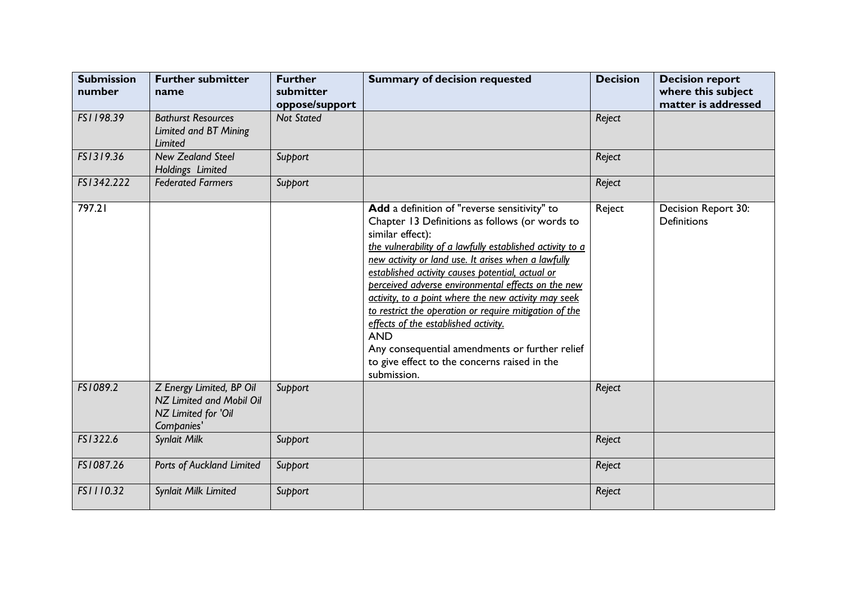| <b>Submission</b><br>number | <b>Further submitter</b><br>name                                                          | <b>Further</b><br>submitter<br>oppose/support | <b>Summary of decision requested</b>                                                                                                                                                                                                                                                                                                                                                                                                                                                                                                                                                                                                      | <b>Decision</b> | <b>Decision report</b><br>where this subject<br>matter is addressed |
|-----------------------------|-------------------------------------------------------------------------------------------|-----------------------------------------------|-------------------------------------------------------------------------------------------------------------------------------------------------------------------------------------------------------------------------------------------------------------------------------------------------------------------------------------------------------------------------------------------------------------------------------------------------------------------------------------------------------------------------------------------------------------------------------------------------------------------------------------------|-----------------|---------------------------------------------------------------------|
| FS1198.39                   | <b>Bathurst Resources</b><br>Limited and BT Mining<br>Limited                             | <b>Not Stated</b>                             |                                                                                                                                                                                                                                                                                                                                                                                                                                                                                                                                                                                                                                           | Reject          |                                                                     |
| FS1319.36                   | <b>New Zealand Steel</b><br>Holdings Limited                                              | Support                                       |                                                                                                                                                                                                                                                                                                                                                                                                                                                                                                                                                                                                                                           | Reject          |                                                                     |
| FS1342.222                  | <b>Federated Farmers</b>                                                                  | Support                                       |                                                                                                                                                                                                                                                                                                                                                                                                                                                                                                                                                                                                                                           | Reject          |                                                                     |
| 797.21                      |                                                                                           |                                               | Add a definition of "reverse sensitivity" to<br>Chapter 13 Definitions as follows (or words to<br>similar effect):<br>the vulnerability of a lawfully established activity to a<br>new activity or land use. It arises when a lawfully<br>established activity causes potential, actual or<br>perceived adverse environmental effects on the new<br>activity, to a point where the new activity may seek<br>to restrict the operation or require mitigation of the<br>effects of the established activity.<br><b>AND</b><br>Any consequential amendments or further relief<br>to give effect to the concerns raised in the<br>submission. | Reject          | Decision Report 30:<br><b>Definitions</b>                           |
| FS1089.2                    | Z Energy Limited, BP Oil<br>NZ Limited and Mobil Oil<br>NZ Limited for 'Oil<br>Companies' | Support                                       |                                                                                                                                                                                                                                                                                                                                                                                                                                                                                                                                                                                                                                           | Reject          |                                                                     |
| FS1322.6                    | Synlait Milk                                                                              | Support                                       |                                                                                                                                                                                                                                                                                                                                                                                                                                                                                                                                                                                                                                           | Reject          |                                                                     |
| FS1087.26                   | Ports of Auckland Limited                                                                 | Support                                       |                                                                                                                                                                                                                                                                                                                                                                                                                                                                                                                                                                                                                                           | Reject          |                                                                     |
| FS1110.32                   | Synlait Milk Limited                                                                      | Support                                       |                                                                                                                                                                                                                                                                                                                                                                                                                                                                                                                                                                                                                                           | Reject          |                                                                     |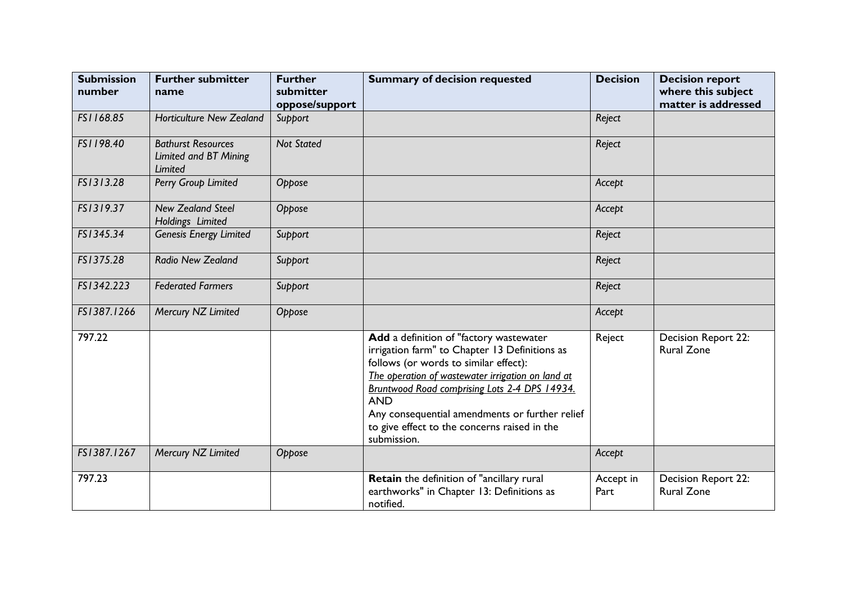| <b>Submission</b><br>number | <b>Further submitter</b><br>name                              | <b>Further</b><br>submitter<br>oppose/support | <b>Summary of decision requested</b>                                                                                                                                                                                                                                                                                                                                   | <b>Decision</b>   | <b>Decision report</b><br>where this subject<br>matter is addressed |
|-----------------------------|---------------------------------------------------------------|-----------------------------------------------|------------------------------------------------------------------------------------------------------------------------------------------------------------------------------------------------------------------------------------------------------------------------------------------------------------------------------------------------------------------------|-------------------|---------------------------------------------------------------------|
| FS1168.85                   | <b>Horticulture New Zealand</b>                               | Support                                       |                                                                                                                                                                                                                                                                                                                                                                        | Reject            |                                                                     |
| FS1198.40                   | <b>Bathurst Resources</b><br>Limited and BT Mining<br>Limited | <b>Not Stated</b>                             |                                                                                                                                                                                                                                                                                                                                                                        | Reject            |                                                                     |
| FS1313.28                   | Perry Group Limited                                           | Oppose                                        |                                                                                                                                                                                                                                                                                                                                                                        | Accept            |                                                                     |
| FS1319.37                   | <b>New Zealand Steel</b><br>Holdings Limited                  | Oppose                                        |                                                                                                                                                                                                                                                                                                                                                                        | Accept            |                                                                     |
| FS1345.34                   | <b>Genesis Energy Limited</b>                                 | Support                                       |                                                                                                                                                                                                                                                                                                                                                                        | Reject            |                                                                     |
| FS1375.28                   | Radio New Zealand                                             | Support                                       |                                                                                                                                                                                                                                                                                                                                                                        | Reject            |                                                                     |
| FS1342.223                  | <b>Federated Farmers</b>                                      | Support                                       |                                                                                                                                                                                                                                                                                                                                                                        | Reject            |                                                                     |
| FS1387.1266                 | Mercury NZ Limited                                            | Oppose                                        |                                                                                                                                                                                                                                                                                                                                                                        | Accept            |                                                                     |
| 797.22                      |                                                               |                                               | Add a definition of "factory wastewater<br>irrigation farm" to Chapter 13 Definitions as<br>follows (or words to similar effect):<br>The operation of wastewater irrigation on land at<br>Bruntwood Road comprising Lots 2-4 DPS 14934.<br><b>AND</b><br>Any consequential amendments or further relief<br>to give effect to the concerns raised in the<br>submission. | Reject            | Decision Report 22:<br><b>Rural Zone</b>                            |
| FS1387.1267                 | Mercury NZ Limited                                            | Oppose                                        |                                                                                                                                                                                                                                                                                                                                                                        | Accept            |                                                                     |
| 797.23                      |                                                               |                                               | Retain the definition of "ancillary rural<br>earthworks" in Chapter 13: Definitions as<br>notified.                                                                                                                                                                                                                                                                    | Accept in<br>Part | Decision Report 22:<br><b>Rural Zone</b>                            |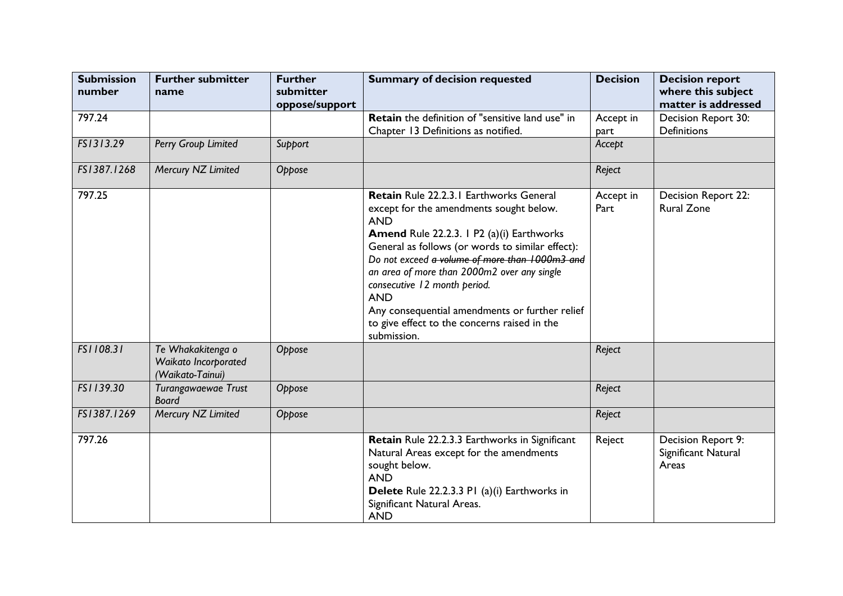| <b>Submission</b><br>number | <b>Further submitter</b><br>name                              | <b>Further</b><br>submitter<br>oppose/support | <b>Summary of decision requested</b>                                                                                                                                                                                                                                                                                                                                                                                                                              | <b>Decision</b>   | <b>Decision report</b><br>where this subject<br>matter is addressed |
|-----------------------------|---------------------------------------------------------------|-----------------------------------------------|-------------------------------------------------------------------------------------------------------------------------------------------------------------------------------------------------------------------------------------------------------------------------------------------------------------------------------------------------------------------------------------------------------------------------------------------------------------------|-------------------|---------------------------------------------------------------------|
| 797.24                      |                                                               |                                               | Retain the definition of "sensitive land use" in<br>Chapter 13 Definitions as notified.                                                                                                                                                                                                                                                                                                                                                                           | Accept in<br>part | Decision Report 30:<br><b>Definitions</b>                           |
| FS1313.29                   | Perry Group Limited                                           | Support                                       |                                                                                                                                                                                                                                                                                                                                                                                                                                                                   | Accept            |                                                                     |
| FS1387.1268                 | Mercury NZ Limited                                            | Oppose                                        |                                                                                                                                                                                                                                                                                                                                                                                                                                                                   | Reject            |                                                                     |
| 797.25                      |                                                               |                                               | Retain Rule 22.2.3.1 Earthworks General<br>except for the amendments sought below.<br><b>AND</b><br>Amend Rule 22.2.3. 1 P2 (a)(i) Earthworks<br>General as follows (or words to similar effect):<br>Do not exceed a volume of more than 1000m3 and<br>an area of more than 2000m2 over any single<br>consecutive 12 month period.<br><b>AND</b><br>Any consequential amendments or further relief<br>to give effect to the concerns raised in the<br>submission. | Accept in<br>Part | Decision Report 22:<br><b>Rural Zone</b>                            |
| FS1108.31                   | Te Whakakitenga o<br>Waikato Incorporated<br>(Waikato-Tainui) | Oppose                                        |                                                                                                                                                                                                                                                                                                                                                                                                                                                                   | Reject            |                                                                     |
| FS1139.30                   | Turangawaewae Trust<br><b>Board</b>                           | Oppose                                        |                                                                                                                                                                                                                                                                                                                                                                                                                                                                   | Reject            |                                                                     |
| FS1387.1269                 | Mercury NZ Limited                                            | Oppose                                        |                                                                                                                                                                                                                                                                                                                                                                                                                                                                   | Reject            |                                                                     |
| 797.26                      |                                                               |                                               | Retain Rule 22.2.3.3 Earthworks in Significant<br>Natural Areas except for the amendments<br>sought below.<br><b>AND</b><br>Delete Rule 22.2.3.3 PI (a)(i) Earthworks in<br>Significant Natural Areas.<br><b>AND</b>                                                                                                                                                                                                                                              | Reject            | Decision Report 9:<br>Significant Natural<br>Areas                  |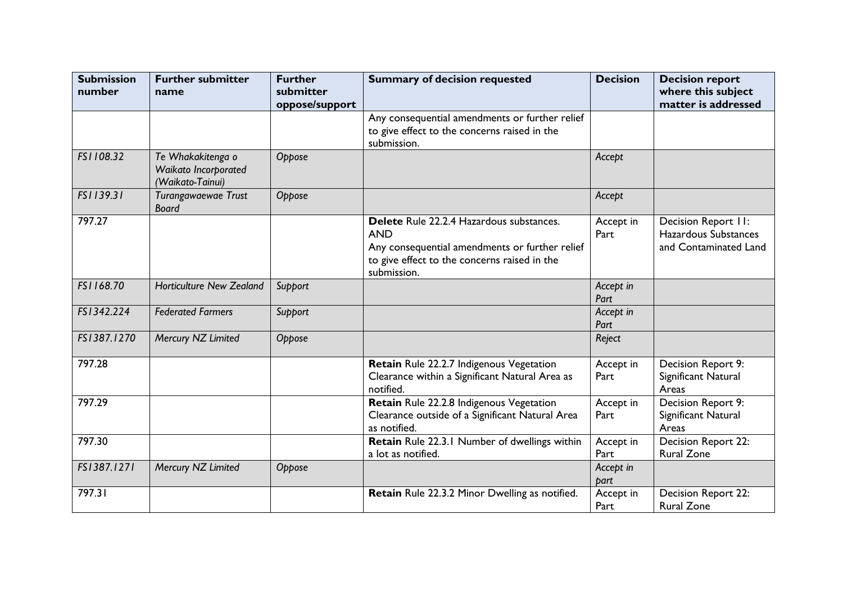| <b>Submission</b><br>number | <b>Further submitter</b><br>name                              | <b>Further</b><br>submitter | <b>Summary of decision requested</b>                                                                                                                                    | <b>Decision</b>   | <b>Decision report</b><br>where this subject                         |
|-----------------------------|---------------------------------------------------------------|-----------------------------|-------------------------------------------------------------------------------------------------------------------------------------------------------------------------|-------------------|----------------------------------------------------------------------|
|                             |                                                               | oppose/support              |                                                                                                                                                                         |                   | matter is addressed                                                  |
|                             |                                                               |                             | Any consequential amendments or further relief<br>to give effect to the concerns raised in the<br>submission.                                                           |                   |                                                                      |
| FS1108.32                   | Te Whakakitenga o<br>Waikato Incorporated<br>(Waikato-Tainui) | Oppose                      |                                                                                                                                                                         | Accept            |                                                                      |
| FS1139.31                   | Turangawaewae Trust<br><b>Board</b>                           | Oppose                      |                                                                                                                                                                         | Accept            |                                                                      |
| 797.27                      |                                                               |                             | Delete Rule 22.2.4 Hazardous substances.<br><b>AND</b><br>Any consequential amendments or further relief<br>to give effect to the concerns raised in the<br>submission. | Accept in<br>Part | Decision Report II:<br>Hazardous Substances<br>and Contaminated Land |
| FS1168.70                   | <b>Horticulture New Zealand</b>                               | Support                     |                                                                                                                                                                         | Accept in<br>Part |                                                                      |
| FS1342.224                  | <b>Federated Farmers</b>                                      | Support                     |                                                                                                                                                                         | Accept in<br>Part |                                                                      |
| FS1387.1270                 | Mercury NZ Limited                                            | Oppose                      |                                                                                                                                                                         | Reject            |                                                                      |
| 797.28                      |                                                               |                             | Retain Rule 22.2.7 Indigenous Vegetation<br>Clearance within a Significant Natural Area as<br>notified.                                                                 | Accept in<br>Part | Decision Report 9:<br>Significant Natural<br>Areas                   |
| 797.29                      |                                                               |                             | Retain Rule 22.2.8 Indigenous Vegetation<br>Clearance outside of a Significant Natural Area<br>as notified.                                                             | Accept in<br>Part | Decision Report 9:<br>Significant Natural<br>Areas                   |
| 797.30                      |                                                               |                             | Retain Rule 22.3.1 Number of dwellings within<br>a lot as notified.                                                                                                     | Accept in<br>Part | Decision Report 22:<br><b>Rural Zone</b>                             |
| FS1387.1271                 | Mercury NZ Limited                                            | Oppose                      |                                                                                                                                                                         | Accept in<br>part |                                                                      |
| 797.31                      |                                                               |                             | Retain Rule 22.3.2 Minor Dwelling as notified.                                                                                                                          | Accept in<br>Part | Decision Report 22:<br><b>Rural Zone</b>                             |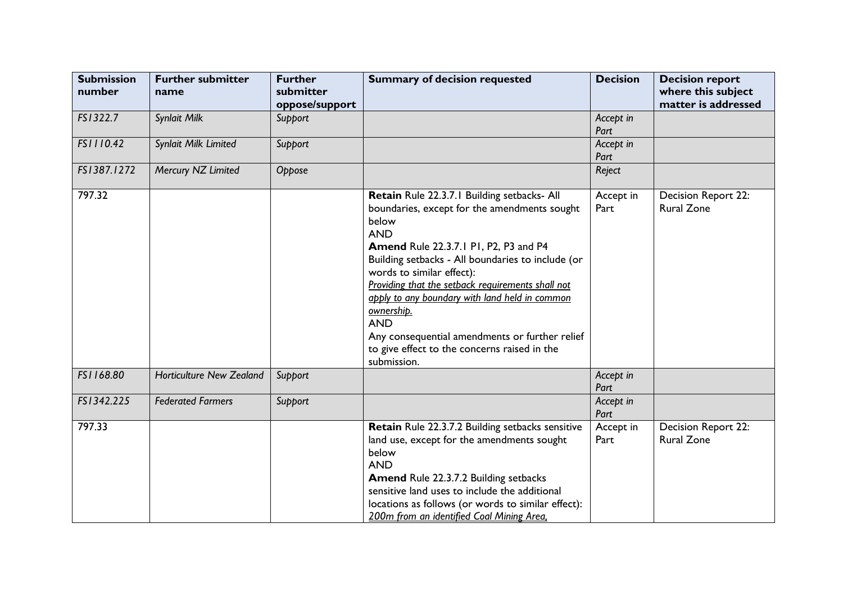| <b>Submission</b><br>number | <b>Further submitter</b><br>name | <b>Further</b><br>submitter<br>oppose/support | <b>Summary of decision requested</b>                                                                                                                                                                                                                                                                                                                                                                                                                                                                     | <b>Decision</b>   | <b>Decision report</b><br>where this subject<br>matter is addressed |
|-----------------------------|----------------------------------|-----------------------------------------------|----------------------------------------------------------------------------------------------------------------------------------------------------------------------------------------------------------------------------------------------------------------------------------------------------------------------------------------------------------------------------------------------------------------------------------------------------------------------------------------------------------|-------------------|---------------------------------------------------------------------|
| FS1322.7                    | Synlait Milk                     | Support                                       |                                                                                                                                                                                                                                                                                                                                                                                                                                                                                                          | Accept in<br>Part |                                                                     |
| FS1110.42                   | Synlait Milk Limited             | Support                                       |                                                                                                                                                                                                                                                                                                                                                                                                                                                                                                          | Accept in<br>Part |                                                                     |
| FS1387.1272                 | Mercury NZ Limited               | Oppose                                        |                                                                                                                                                                                                                                                                                                                                                                                                                                                                                                          | Reject            |                                                                     |
| 797.32                      |                                  |                                               | Retain Rule 22.3.7.1 Building setbacks- All<br>boundaries, except for the amendments sought<br>below<br><b>AND</b><br><b>Amend Rule 22.3.7.1 P1, P2, P3 and P4</b><br>Building setbacks - All boundaries to include (or<br>words to similar effect):<br>Providing that the setback requirements shall not<br>apply to any boundary with land held in common<br>ownership.<br><b>AND</b><br>Any consequential amendments or further relief<br>to give effect to the concerns raised in the<br>submission. | Accept in<br>Part | Decision Report 22:<br><b>Rural Zone</b>                            |
| FS1168.80                   | <b>Horticulture New Zealand</b>  | Support                                       |                                                                                                                                                                                                                                                                                                                                                                                                                                                                                                          | Accept in<br>Part |                                                                     |
| FS1342.225                  | <b>Federated Farmers</b>         | Support                                       |                                                                                                                                                                                                                                                                                                                                                                                                                                                                                                          | Accept in<br>Part |                                                                     |
| 797.33                      |                                  |                                               | Retain Rule 22.3.7.2 Building setbacks sensitive<br>land use, except for the amendments sought<br>below<br><b>AND</b><br><b>Amend Rule 22.3.7.2 Building setbacks</b><br>sensitive land uses to include the additional<br>locations as follows (or words to similar effect):<br>200m from an identified Coal Mining Area,                                                                                                                                                                                | Accept in<br>Part | Decision Report 22:<br><b>Rural Zone</b>                            |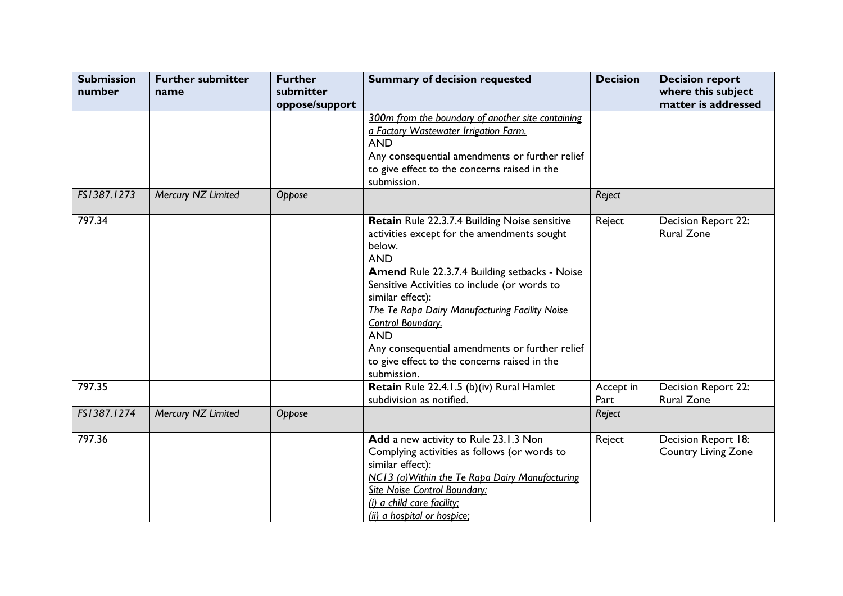| <b>Submission</b><br>number | <b>Further submitter</b><br>name | <b>Further</b><br>submitter | <b>Summary of decision requested</b>                                                                                                                                                                                                                                                                                                                                                                                                                   | <b>Decision</b>   | <b>Decision report</b><br>where this subject      |
|-----------------------------|----------------------------------|-----------------------------|--------------------------------------------------------------------------------------------------------------------------------------------------------------------------------------------------------------------------------------------------------------------------------------------------------------------------------------------------------------------------------------------------------------------------------------------------------|-------------------|---------------------------------------------------|
|                             |                                  | oppose/support              | 300m from the boundary of another site containing<br>a Factory Wastewater Irrigation Farm.<br><b>AND</b><br>Any consequential amendments or further relief<br>to give effect to the concerns raised in the<br>submission.                                                                                                                                                                                                                              |                   | matter is addressed                               |
| FS1387.1273                 | Mercury NZ Limited               | Oppose                      |                                                                                                                                                                                                                                                                                                                                                                                                                                                        | Reject            |                                                   |
| 797.34                      |                                  |                             | Retain Rule 22.3.7.4 Building Noise sensitive<br>activities except for the amendments sought<br>below.<br><b>AND</b><br><b>Amend Rule 22.3.7.4 Building setbacks - Noise</b><br>Sensitive Activities to include (or words to<br>similar effect):<br>The Te Rapa Dairy Manufacturing Facility Noise<br>Control Boundary.<br><b>AND</b><br>Any consequential amendments or further relief<br>to give effect to the concerns raised in the<br>submission. | Reject            | Decision Report 22:<br><b>Rural Zone</b>          |
| 797.35                      |                                  |                             | Retain Rule 22.4.1.5 (b)(iv) Rural Hamlet<br>subdivision as notified.                                                                                                                                                                                                                                                                                                                                                                                  | Accept in<br>Part | Decision Report 22:<br><b>Rural Zone</b>          |
| FS1387.1274                 | Mercury NZ Limited               | Oppose                      |                                                                                                                                                                                                                                                                                                                                                                                                                                                        | Reject            |                                                   |
| 797.36                      |                                  |                             | Add a new activity to Rule 23.1.3 Non<br>Complying activities as follows (or words to<br>similar effect):<br>NC13 (a) Within the Te Rapa Dairy Manufacturing<br><b>Site Noise Control Boundary:</b><br>(i) a child care facility;<br>(ii) a hospital or hospice;                                                                                                                                                                                       | Reject            | Decision Report 18:<br><b>Country Living Zone</b> |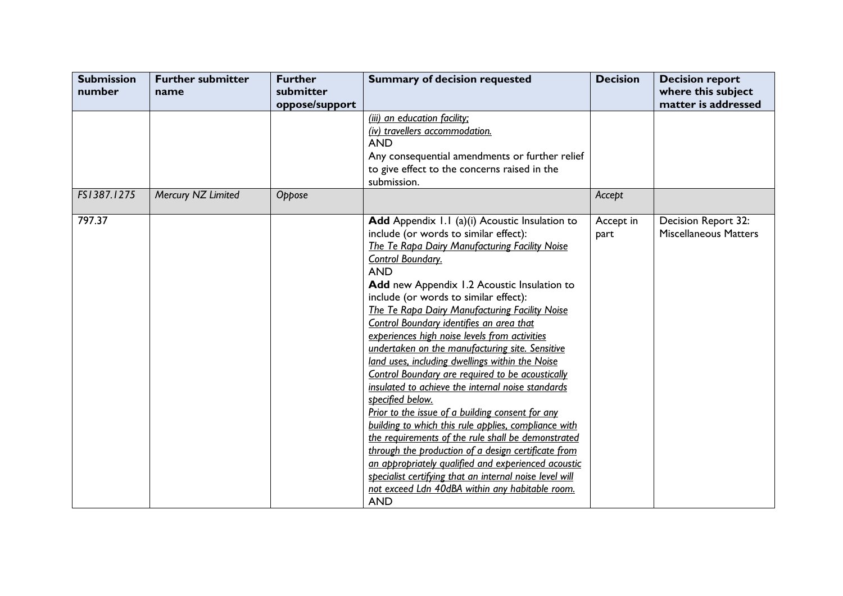| <b>Submission</b><br>number | <b>Further submitter</b><br>name | <b>Further</b><br>submitter | <b>Summary of decision requested</b>                                                                                                                                                                                                                                                                                                                                                                                                                                                                                                                                                                                                                                                                                                                                                                                                                                                                                                                                                                                                                                             | <b>Decision</b>   | <b>Decision report</b><br>where this subject        |
|-----------------------------|----------------------------------|-----------------------------|----------------------------------------------------------------------------------------------------------------------------------------------------------------------------------------------------------------------------------------------------------------------------------------------------------------------------------------------------------------------------------------------------------------------------------------------------------------------------------------------------------------------------------------------------------------------------------------------------------------------------------------------------------------------------------------------------------------------------------------------------------------------------------------------------------------------------------------------------------------------------------------------------------------------------------------------------------------------------------------------------------------------------------------------------------------------------------|-------------------|-----------------------------------------------------|
|                             |                                  | oppose/support              |                                                                                                                                                                                                                                                                                                                                                                                                                                                                                                                                                                                                                                                                                                                                                                                                                                                                                                                                                                                                                                                                                  |                   | matter is addressed                                 |
|                             |                                  |                             | (iii) an education facility;<br>(iv) travellers accommodation.<br><b>AND</b><br>Any consequential amendments or further relief<br>to give effect to the concerns raised in the<br>submission.                                                                                                                                                                                                                                                                                                                                                                                                                                                                                                                                                                                                                                                                                                                                                                                                                                                                                    |                   |                                                     |
| FS1387.1275                 | Mercury NZ Limited               | Oppose                      |                                                                                                                                                                                                                                                                                                                                                                                                                                                                                                                                                                                                                                                                                                                                                                                                                                                                                                                                                                                                                                                                                  | Accept            |                                                     |
| 797.37                      |                                  |                             | Add Appendix 1.1 (a)(i) Acoustic Insulation to<br>include (or words to similar effect):<br><b>The Te Rapa Dairy Manufacturing Facility Noise</b><br><b>Control Boundary.</b><br><b>AND</b><br>Add new Appendix 1.2 Acoustic Insulation to<br>include (or words to similar effect):<br>The Te Rapa Dairy Manufacturing Facility Noise<br>Control Boundary identifies an area that<br>experiences high noise levels from activities<br>undertaken on the manufacturing site. Sensitive<br>land uses, including dwellings within the Noise<br>Control Boundary are required to be acoustically<br>insulated to achieve the internal noise standards<br>specified below.<br>Prior to the issue of a building consent for any<br>building to which this rule applies, compliance with<br>the requirements of the rule shall be demonstrated<br>through the production of a design certificate from<br>an appropriately qualified and experienced acoustic<br>specialist certifying that an internal noise level will<br>not exceed Ldn 40dBA within any habitable room.<br><b>AND</b> | Accept in<br>part | Decision Report 32:<br><b>Miscellaneous Matters</b> |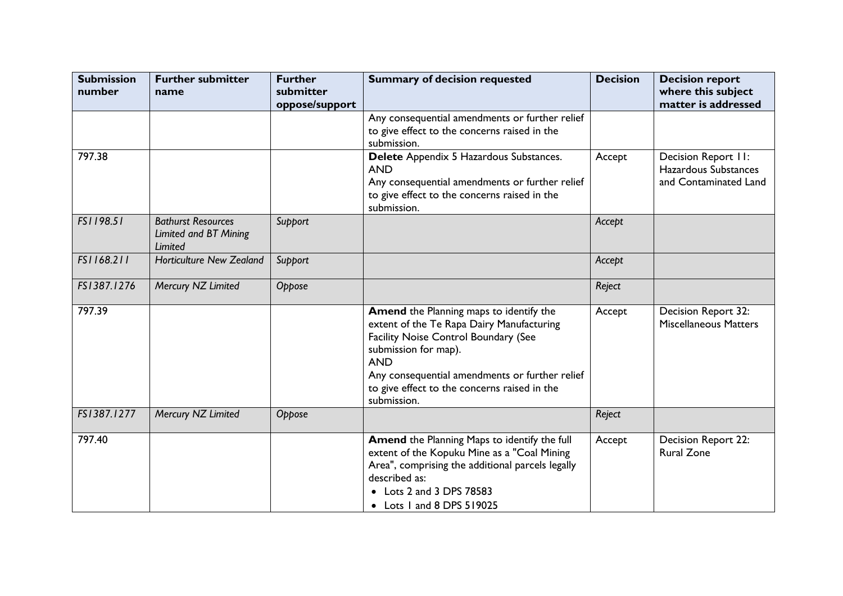| <b>Submission</b><br>number | <b>Further submitter</b><br>name | <b>Further</b><br>submitter | <b>Summary of decision requested</b>             | <b>Decision</b> | <b>Decision report</b><br>where this subject |
|-----------------------------|----------------------------------|-----------------------------|--------------------------------------------------|-----------------|----------------------------------------------|
|                             |                                  | oppose/support              |                                                  |                 | matter is addressed                          |
|                             |                                  |                             | Any consequential amendments or further relief   |                 |                                              |
|                             |                                  |                             | to give effect to the concerns raised in the     |                 |                                              |
|                             |                                  |                             | submission.                                      |                 |                                              |
| 797.38                      |                                  |                             | Delete Appendix 5 Hazardous Substances.          | Accept          | Decision Report II:                          |
|                             |                                  |                             | <b>AND</b>                                       |                 | Hazardous Substances                         |
|                             |                                  |                             | Any consequential amendments or further relief   |                 | and Contaminated Land                        |
|                             |                                  |                             | to give effect to the concerns raised in the     |                 |                                              |
|                             |                                  |                             | submission.                                      |                 |                                              |
| FS1198.51                   | <b>Bathurst Resources</b>        | Support                     |                                                  | Accept          |                                              |
|                             | Limited and BT Mining<br>Limited |                             |                                                  |                 |                                              |
| FS1168.211                  | <b>Horticulture New Zealand</b>  | Support                     |                                                  | Accept          |                                              |
|                             |                                  |                             |                                                  |                 |                                              |
| FS1387.1276                 | Mercury NZ Limited               | Oppose                      |                                                  | Reject          |                                              |
|                             |                                  |                             |                                                  |                 |                                              |
| 797.39                      |                                  |                             | Amend the Planning maps to identify the          | Accept          | Decision Report 32:                          |
|                             |                                  |                             | extent of the Te Rapa Dairy Manufacturing        |                 | <b>Miscellaneous Matters</b>                 |
|                             |                                  |                             | Facility Noise Control Boundary (See             |                 |                                              |
|                             |                                  |                             | submission for map).                             |                 |                                              |
|                             |                                  |                             | <b>AND</b>                                       |                 |                                              |
|                             |                                  |                             | Any consequential amendments or further relief   |                 |                                              |
|                             |                                  |                             | to give effect to the concerns raised in the     |                 |                                              |
|                             |                                  |                             | submission.                                      |                 |                                              |
| FS1387.1277                 | Mercury NZ Limited               | Oppose                      |                                                  | Reject          |                                              |
| 797.40                      |                                  |                             | Amend the Planning Maps to identify the full     | Accept          | Decision Report 22:                          |
|                             |                                  |                             | extent of the Kopuku Mine as a "Coal Mining      |                 | <b>Rural Zone</b>                            |
|                             |                                  |                             | Area", comprising the additional parcels legally |                 |                                              |
|                             |                                  |                             | described as:                                    |                 |                                              |
|                             |                                  |                             | • Lots 2 and 3 DPS 78583                         |                 |                                              |
|                             |                                  |                             | • Lots I and 8 DPS 519025                        |                 |                                              |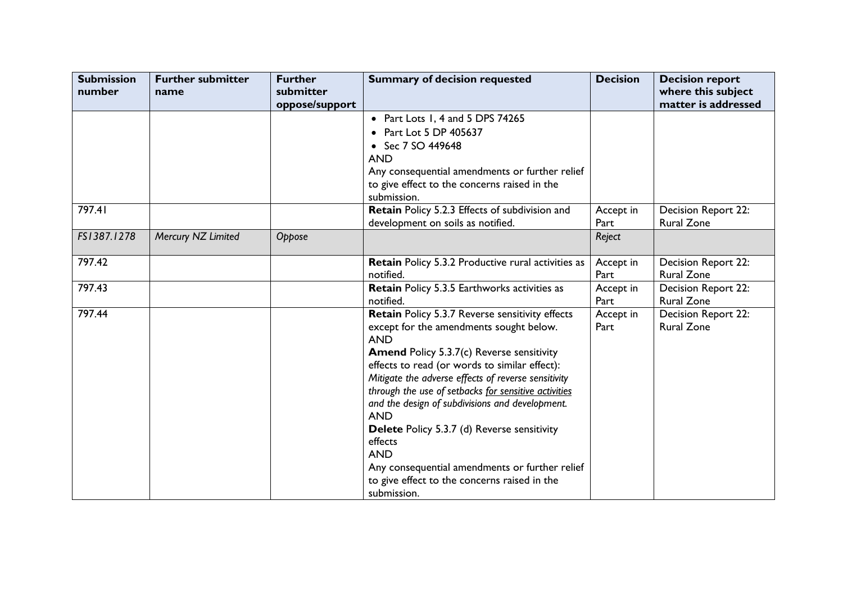| <b>Submission</b><br>number | <b>Further submitter</b><br>name | <b>Further</b><br>submitter<br>oppose/support | <b>Summary of decision requested</b>                                                                                                                                                                                                                                                                                                                                                                                                                                                                                                                                                          | <b>Decision</b>   | <b>Decision report</b><br>where this subject<br>matter is addressed |
|-----------------------------|----------------------------------|-----------------------------------------------|-----------------------------------------------------------------------------------------------------------------------------------------------------------------------------------------------------------------------------------------------------------------------------------------------------------------------------------------------------------------------------------------------------------------------------------------------------------------------------------------------------------------------------------------------------------------------------------------------|-------------------|---------------------------------------------------------------------|
|                             |                                  |                                               | • Part Lots 1, 4 and 5 DPS 74265<br>• Part Lot 5 DP 405637<br>• Sec 7 SO 449648<br><b>AND</b><br>Any consequential amendments or further relief<br>to give effect to the concerns raised in the<br>submission.                                                                                                                                                                                                                                                                                                                                                                                |                   |                                                                     |
| 797.41                      |                                  |                                               | Retain Policy 5.2.3 Effects of subdivision and<br>development on soils as notified.                                                                                                                                                                                                                                                                                                                                                                                                                                                                                                           | Accept in<br>Part | <b>Decision Report 22:</b><br><b>Rural Zone</b>                     |
| FS1387.1278                 | Mercury NZ Limited               | Oppose                                        |                                                                                                                                                                                                                                                                                                                                                                                                                                                                                                                                                                                               | Reject            |                                                                     |
| 797.42                      |                                  |                                               | <b>Retain Policy 5.3.2 Productive rural activities as</b><br>notified.                                                                                                                                                                                                                                                                                                                                                                                                                                                                                                                        | Accept in<br>Part | Decision Report 22:<br><b>Rural Zone</b>                            |
| 797.43                      |                                  |                                               | <b>Retain Policy 5.3.5 Earthworks activities as</b><br>notified.                                                                                                                                                                                                                                                                                                                                                                                                                                                                                                                              | Accept in<br>Part | Decision Report 22:<br><b>Rural Zone</b>                            |
| 797.44                      |                                  |                                               | Retain Policy 5.3.7 Reverse sensitivity effects<br>except for the amendments sought below.<br><b>AND</b><br><b>Amend Policy 5.3.7(c) Reverse sensitivity</b><br>effects to read (or words to similar effect):<br>Mitigate the adverse effects of reverse sensitivity<br>through the use of setbacks for sensitive activities<br>and the design of subdivisions and development.<br><b>AND</b><br><b>Delete</b> Policy 5.3.7 (d) Reverse sensitivity<br>effects<br><b>AND</b><br>Any consequential amendments or further relief<br>to give effect to the concerns raised in the<br>submission. | Accept in<br>Part | Decision Report 22:<br><b>Rural Zone</b>                            |